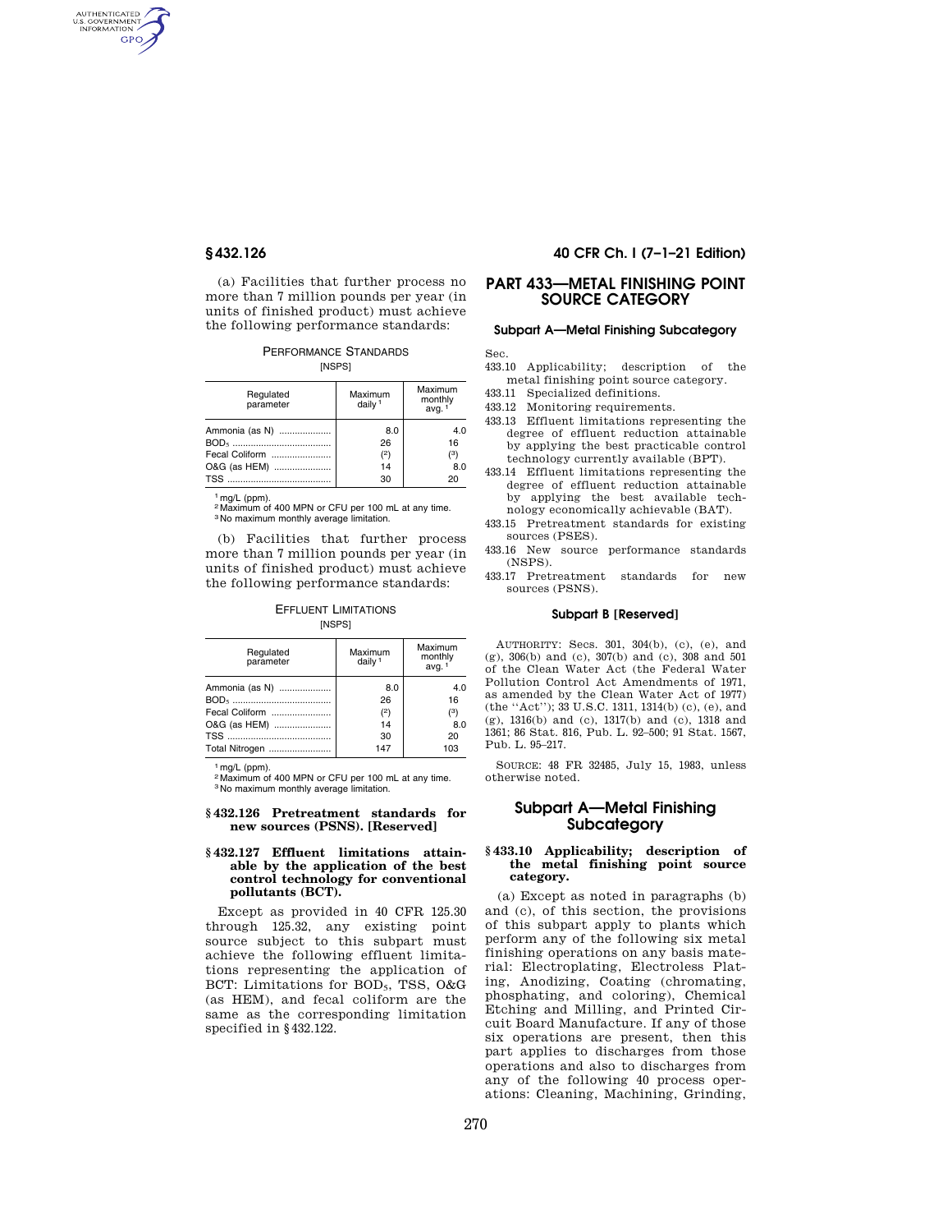AUTHENTICATED<br>U.S. GOVERNMENT<br>INFORMATION **GPO** 

> (a) Facilities that further process no more than 7 million pounds per year (in units of finished product) must achieve the following performance standards:

PERFORMANCE STANDARDS [NSPS]

| Regulated<br>parameter | Maximum<br>daily <sup>1</sup> | Maximum<br>monthly<br>avg. <sup>1</sup> |
|------------------------|-------------------------------|-----------------------------------------|
| Ammonia (as N)         | 8.0                           | 4.0                                     |
|                        | 26                            | 16                                      |
| Fecal Coliform         | (2)                           | 3)                                      |
| O&G (as HEM)           | 14                            | 8.0                                     |
|                        | 30                            | 20                                      |

1 mg/L (ppm).

2 Maximum of 400 MPN or CFU per 100 mL at any time. 3 No maximum monthly average limitation.

(b) Facilities that further process more than 7 million pounds per year (in units of finished product) must achieve the following performance standards:

EFFLUENT LIMITATIONS [NSPS]

| Regulated<br>parameter | Maximum<br>daily <sup>1</sup> | Maximum<br>monthly<br>avg. <sup>1</sup> |
|------------------------|-------------------------------|-----------------------------------------|
| Ammonia (as N)         | 8.0                           | 4.0                                     |
|                        | 26                            | 16                                      |
| Fecal Coliform         | (2)                           | (3)                                     |
| O&G (as HEM)           | 14                            | 8.0                                     |
|                        | 30                            | 20                                      |
| Total Nitrogen         | 147                           | 103                                     |

1 mg/L (ppm).

2 Maximum of 400 MPN or CFU per 100 mL at any time. 3 No maximum monthly average limitation.

### **§ 432.126 Pretreatment standards for new sources (PSNS). [Reserved]**

## **§ 432.127 Effluent limitations attainable by the application of the best control technology for conventional pollutants (BCT).**

Except as provided in 40 CFR 125.30 through 125.32, any existing point source subject to this subpart must achieve the following effluent limitations representing the application of BCT: Limitations for BOD<sub>5</sub>, TSS, O&G (as HEM), and fecal coliform are the same as the corresponding limitation specified in §432.122.

## **§ 432.126 40 CFR Ch. I (7–1–21 Edition)**

# **PART 433—METAL FINISHING POINT SOURCE CATEGORY**

# **Subpart A—Metal Finishing Subcategory**

Sec.

- 433.10 Applicability; description of the metal finishing point source category.
- 433.11 Specialized definitions.
- 433.12 Monitoring requirements.
- 433.13 Effluent limitations representing the degree of effluent reduction attainable by applying the best practicable control technology currently available (BPT).
- 433.14 Effluent limitations representing the degree of effluent reduction attainable by applying the best available technology economically achievable (BAT).
- 433.15 Pretreatment standards for existing sources (PSES).
- 433.16 New source performance standards (NSPS).
- 433.17 Pretreatment standards for new sources (PSNS).

### **Subpart B [Reserved]**

AUTHORITY: Secs. 301, 304(b), (c), (e), and (g), 306(b) and (c), 307(b) and (c), 308 and 501 of the Clean Water Act (the Federal Water Pollution Control Act Amendments of 1971, as amended by the Clean Water Act of 1977) (the ''Act''); 33 U.S.C. 1311, 1314(b) (c), (e), and  $(g)$ , 1316(b) and (c), 1317(b) and (c), 1318 and 1361; 86 Stat. 816, Pub. L. 92–500; 91 Stat. 1567, Pub. L. 95–217.

SOURCE: 48 FR 32485, July 15, 1983, unless otherwise noted.

## **Subpart A—Metal Finishing Subcategory**

## **§ 433.10 Applicability; description of the metal finishing point source category.**

(a) Except as noted in paragraphs (b) and (c), of this section, the provisions of this subpart apply to plants which perform any of the following six metal finishing operations on any basis material: Electroplating, Electroless Plating, Anodizing, Coating (chromating, phosphating, and coloring), Chemical Etching and Milling, and Printed Circuit Board Manufacture. If any of those six operations are present, then this part applies to discharges from those operations and also to discharges from any of the following 40 process operations: Cleaning, Machining, Grinding,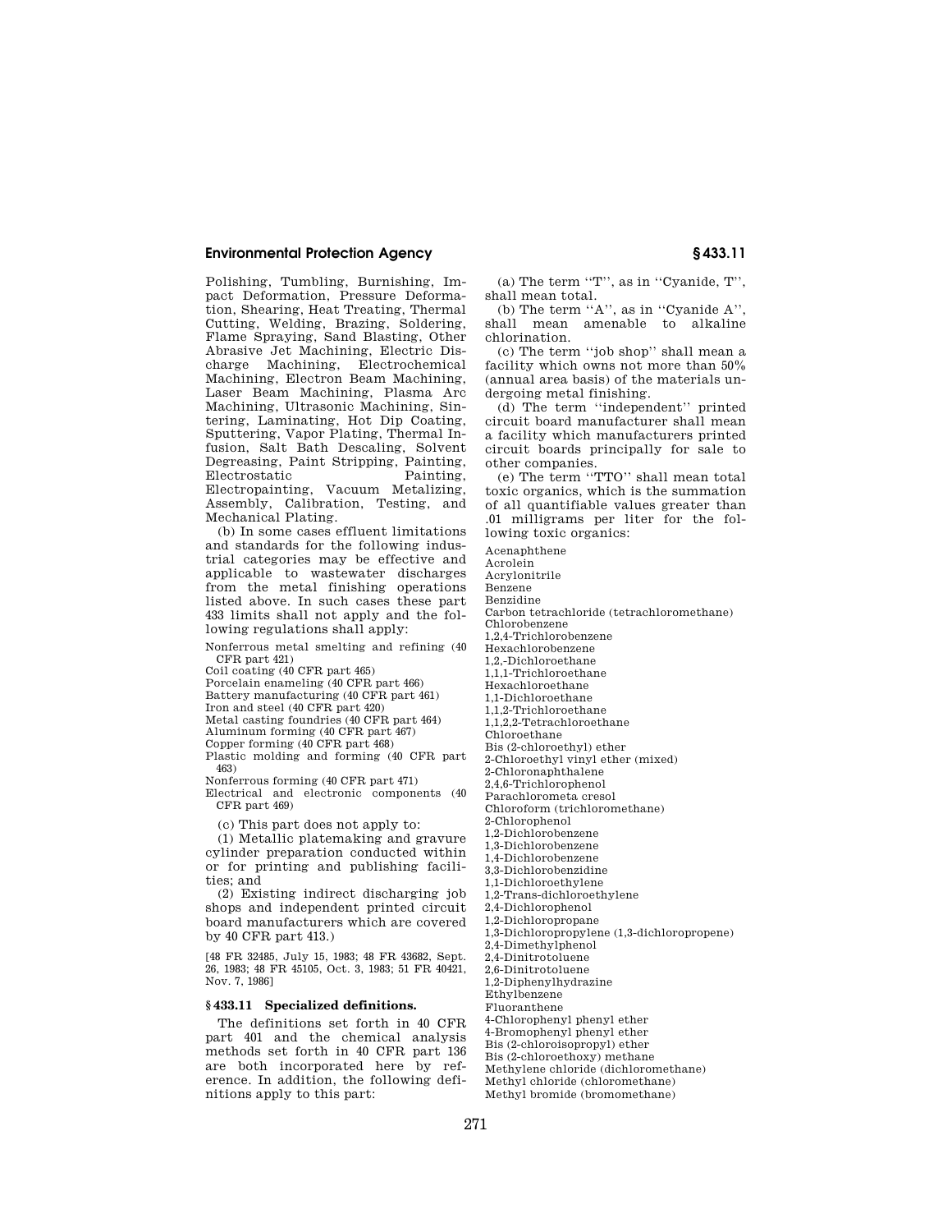## **Environmental Protection Agency § 433.11**

Polishing, Tumbling, Burnishing, Impact Deformation, Pressure Deformation, Shearing, Heat Treating, Thermal Cutting, Welding, Brazing, Soldering, Flame Spraying, Sand Blasting, Other Abrasive Jet Machining, Electric Discharge Machining, Electrochemical Machining, Electron Beam Machining, Laser Beam Machining, Plasma Arc Machining, Ultrasonic Machining, Sintering, Laminating, Hot Dip Coating, Sputtering, Vapor Plating, Thermal Infusion, Salt Bath Descaling, Solvent Degreasing, Paint Stripping, Painting, Electrostatic Electropainting, Vacuum Metalizing, Assembly, Calibration, Testing, and Mechanical Plating.

(b) In some cases effluent limitations and standards for the following industrial categories may be effective and applicable to wastewater discharges from the metal finishing operations listed above. In such cases these part 433 limits shall not apply and the following regulations shall apply:

Nonferrous metal smelting and refining (40 CFR part 421)

Coil coating (40 CFR part 465)

Porcelain enameling (40 CFR part 466) Battery manufacturing (40 CFR part 461) Iron and steel (40 CFR part 420)

Metal casting foundries (40 CFR part 464)

Aluminum forming (40 CFR part 467)

Copper forming (40 CFR part 468)

Plastic molding and forming (40 CFR part 463)

Nonferrous forming (40 CFR part 471)

Electrical and electronic components (40 CFR part 469)

(c) This part does not apply to:

(1) Metallic platemaking and gravure cylinder preparation conducted within or for printing and publishing facilities; and

(2) Existing indirect discharging job shops and independent printed circuit board manufacturers which are covered by 40 CFR part 413.)

[48 FR 32485, July 15, 1983; 48 FR 43682, Sept. 26, 1983; 48 FR 45105, Oct. 3, 1983; 51 FR 40421, Nov. 7, 1986]

## **§ 433.11 Specialized definitions.**

The definitions set forth in 40 CFR part 401 and the chemical analysis methods set forth in 40 CFR part 136 are both incorporated here by reference. In addition, the following definitions apply to this part:

(a) The term ''T'', as in ''Cyanide, T'', shall mean total.

(b) The term ''A'', as in ''Cyanide A'', shall mean amenable to alkaline chlorination.

(c) The term ''job shop'' shall mean a facility which owns not more than 50% (annual area basis) of the materials undergoing metal finishing.

(d) The term ''independent'' printed circuit board manufacturer shall mean a facility which manufacturers printed circuit boards principally for sale to other companies.

(e) The term ''TTO'' shall mean total toxic organics, which is the summation of all quantifiable values greater than .01 milligrams per liter for the following toxic organics:

Acenaphthene

Acrolein

Acrylonitrile Benzene

Benzidine

Carbon tetrachloride (tetrachloromethane)

Chlorobenzene

1,2,4-Trichlorobenzene

Hexachlorobenzene

1,2,-Dichloroethane

1,1,1-Trichloroethane

Hexachloroethane

1,1-Dichloroethane

1,1,2-Trichloroethane

1,1,2,2-Tetrachloroethane

Chloroethane

Bis (2-chloroethyl) ether

2-Chloroethyl vinyl ether (mixed)

2-Chloronaphthalene 2,4,6-Trichlorophenol

Parachlorometa cresol

Chloroform (trichloromethane)

2-Chlorophenol

1,2-Dichlorobenzene

1,3-Dichlorobenzene

1,4-Dichlorobenzene

3,3-Dichlorobenzidine

1,1-Dichloroethylene 1,2-Trans-dichloroethylene

2,4-Dichlorophenol

1,2-Dichloropropane

1,3-Dichloropropylene (1,3-dichloropropene)

2,4-Dimethylphenol

2,4-Dinitrotoluene

2,6-Dinitrotoluene

1,2-Diphenylhydrazine

Ethylbenzene

Fluoranthene

4-Chlorophenyl phenyl ether

4-Bromophenyl phenyl ether

Bis (2-chloroisopropyl) ether Bis (2-chloroethoxy) methane

Methylene chloride (dichloromethane)

Methyl chloride (chloromethane)

Methyl bromide (bromomethane)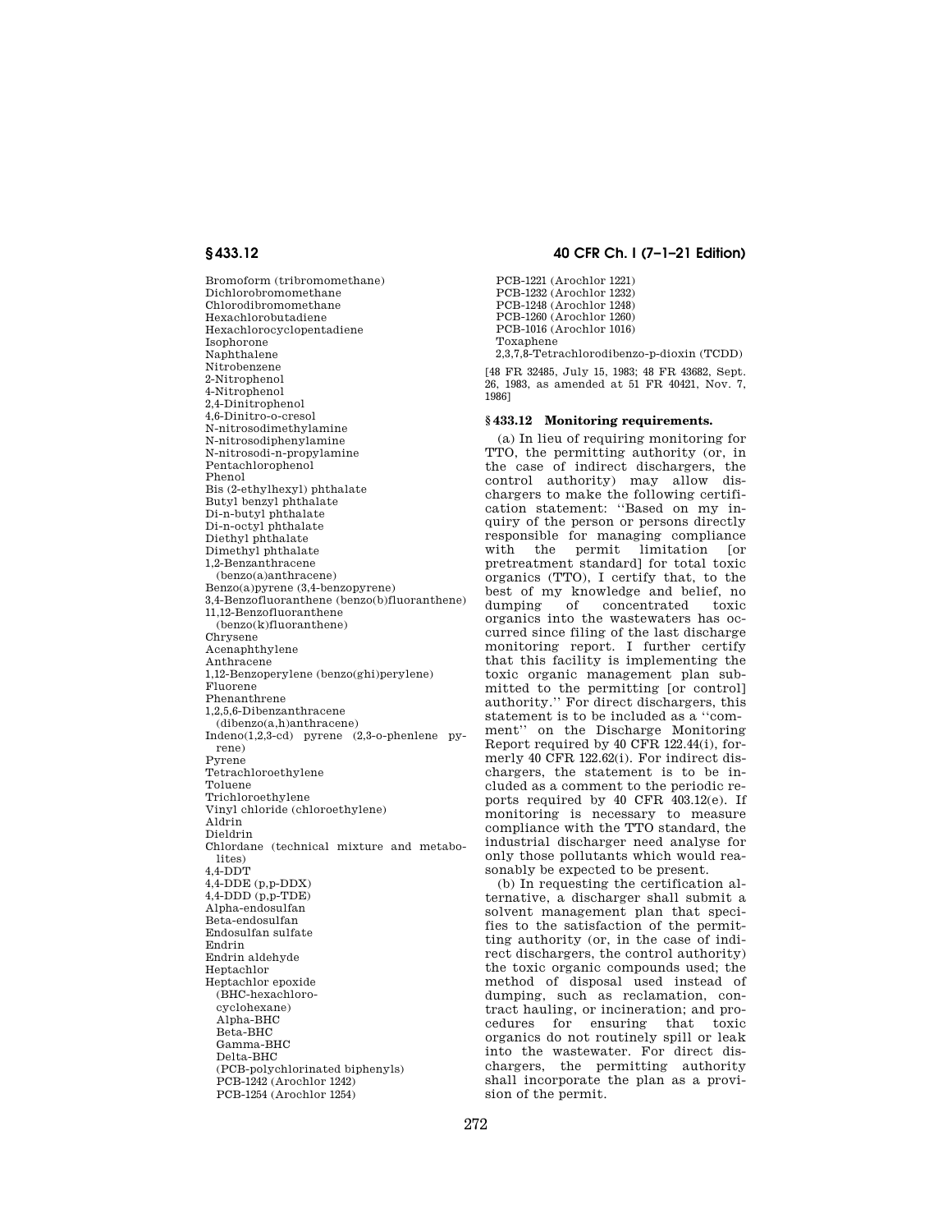Bromoform (tribromomethane) Dichlorobromomethane Chlorodibromomethane Hexachlorobutadiene Hexachlorocyclopentadiene Isophorone Naphthalene Nitrobenzene 2-Nitrophenol 4-Nitrophenol 2,4-Dinitrophenol 4,6-Dinitro-o-cresol N-nitrosodimethylamine N-nitrosodiphenylamine N-nitrosodi-n-propylamine Pentachlorophenol Phenol Bis (2-ethylhexyl) phthalate Butyl benzyl phthalate Di-n-butyl phthalate Di-n-octyl phthalate Diethyl phthalate Dimethyl phthalate 1,2-Benzanthracene (benzo(a)anthracene) Benzo(a)pyrene (3,4-benzopyrene) 3,4-Benzofluoranthene (benzo(b)fluoranthene) 11,12-Benzofluoranthene (benzo(k)fluoranthene) Chrysene Acenaphthylene Anthracene 1,12-Benzoperylene (benzo(ghi)perylene) Fluorene Phenanthrene 1,2,5,6-Dibenzanthracene (dibenzo(a,h)anthracene) Indeno(1,2,3-cd) pyrene (2,3-o-phenlene pyrene) Pyrene Tetrachloroethylene Toluene Trichloroethylene Vinyl chloride (chloroethylene) Aldrin Dieldrin Chlordane (technical mixture and metabolites) 4,4-DDT 4,4-DDE (p,p-DDX)  $4,4$ -DDD $(p,p$ -TDE $)$ Alpha-endosulfan Beta-endosulfan Endosulfan sulfate Endrin Endrin aldehyde Heptachlor Heptachlor epoxide (BHC-hexachlorocyclohexane) Alpha-BHC Beta-BHC Gamma-BHC Delta-BHC (PCB-polychlorinated biphenyls) PCB-1242 (Arochlor 1242)

PCB-1254 (Arochlor 1254)

# **§ 433.12 40 CFR Ch. I (7–1–21 Edition)**

PCB-1221 (Arochlor 1221) PCB-1232 (Arochlor 1232) PCB-1248 (Arochlor 1248) PCB-1260 (Arochlor 1260) PCB-1016 (Arochlor 1016) Toxaphene 2,3,7,8-Tetrachlorodibenzo-p-dioxin (TCDD) [48 FR 32485, July 15, 1983; 48 FR 43682, Sept.

26, 1983, as amended at 51 FR 40421, Nov. 7, 1986]

## **§ 433.12 Monitoring requirements.**

(a) In lieu of requiring monitoring for TTO, the permitting authority (or, in the case of indirect dischargers, the control authority) may allow dischargers to make the following certification statement: ''Based on my inquiry of the person or persons directly responsible for managing compliance with the permit limitation [or pretreatment standard] for total toxic organics (TTO), I certify that, to the best of my knowledge and belief, no dumping of concentrated toxic organics into the wastewaters has occurred since filing of the last discharge monitoring report. I further certify that this facility is implementing the toxic organic management plan submitted to the permitting [or control] authority.'' For direct dischargers, this statement is to be included as a ''comment'' on the Discharge Monitoring Report required by 40 CFR 122.44(i), formerly 40 CFR 122.62(i). For indirect dischargers, the statement is to be included as a comment to the periodic reports required by 40 CFR 403.12(e). If monitoring is necessary to measure compliance with the TTO standard, the industrial discharger need analyse for only those pollutants which would reasonably be expected to be present.

(b) In requesting the certification alternative, a discharger shall submit a solvent management plan that specifies to the satisfaction of the permitting authority (or, in the case of indirect dischargers, the control authority) the toxic organic compounds used; the method of disposal used instead of dumping, such as reclamation, contract hauling, or incineration; and procedures for ensuring that toxic organics do not routinely spill or leak into the wastewater. For direct dischargers, the permitting authority shall incorporate the plan as a provision of the permit.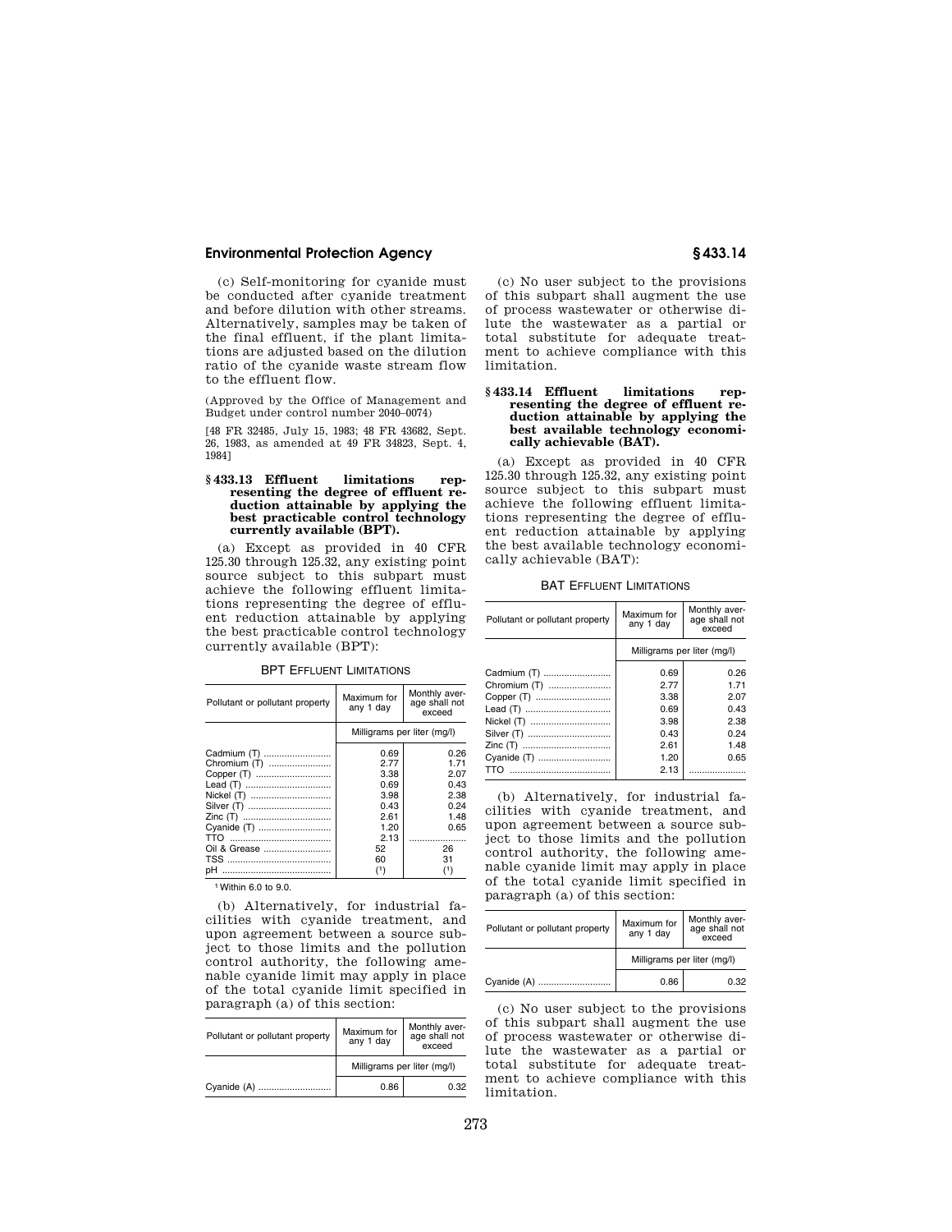# **Environmental Protection Agency § 433.14**

(c) Self-monitoring for cyanide must be conducted after cyanide treatment and before dilution with other streams. Alternatively, samples may be taken of the final effluent, if the plant limitations are adjusted based on the dilution ratio of the cyanide waste stream flow to the effluent flow.

(Approved by the Office of Management and Budget under control number 2040–0074)

[48 FR 32485, July 15, 1983; 48 FR 43682, Sept. 26, 1983, as amended at 49 FR 34823, Sept. 4, 1984]

### **§ 433.13 Effluent limitations representing the degree of effluent reduction attainable by applying the best practicable control technology currently available (BPT).**

(a) Except as provided in 40 CFR 125.30 through 125.32, any existing point source subject to this subpart must achieve the following effluent limitations representing the degree of effluent reduction attainable by applying the best practicable control technology currently available (BPT):

BPT EFFLUENT LIMITATIONS

| Pollutant or pollutant property | Maximum for<br>any 1 day    | Monthly aver-<br>age shall not<br>exceed |
|---------------------------------|-----------------------------|------------------------------------------|
|                                 | Milligrams per liter (mg/l) |                                          |
| Cadmium (T)                     | 0.69                        | 0.26                                     |
| Chromium (T)                    | 2.77                        | 1.71                                     |
| Copper (T)                      | 3.38                        | 2.07                                     |
|                                 | 0.69                        | 0.43                                     |
| Nickel (T)                      | 3.98                        | 2.38                                     |
| Silver (T)                      | 0.43                        | 0.24                                     |
|                                 | 2.61                        | 1.48                                     |
| Cvanide (T)                     | 1.20                        | 0.65                                     |
|                                 | 2.13                        | .                                        |
| Oil & Grease                    | 52                          | 26                                       |
|                                 | 60                          | 31                                       |
| pН                              | (1)                         | (1)                                      |

1Within 6.0 to 9.0.

(b) Alternatively, for industrial facilities with cyanide treatment, and upon agreement between a source subject to those limits and the pollution control authority, the following amenable cyanide limit may apply in place of the total cyanide limit specified in paragraph (a) of this section:

| Pollutant or pollutant property | Maximum for<br>any 1 day    | Monthly aver-<br>age shall not<br>exceed |
|---------------------------------|-----------------------------|------------------------------------------|
|                                 | Milligrams per liter (mg/l) |                                          |
| Cyanide (A)                     | 0.86                        | 0.32                                     |

(c) No user subject to the provisions of this subpart shall augment the use of process wastewater or otherwise dilute the wastewater as a partial or total substitute for adequate treatment to achieve compliance with this limitation.

### **§ 433.14 Effluent limitations representing the degree of effluent reduction attainable by applying the best available technology economically achievable (BAT).**

(a) Except as provided in 40 CFR 125.30 through 125.32, any existing point source subject to this subpart must achieve the following effluent limitations representing the degree of effluent reduction attainable by applying the best available technology economically achievable (BAT):

BAT EFFLUENT LIMITATIONS

| Pollutant or pollutant property | Maximum for<br>any 1 day    | Monthly aver-<br>age shall not<br>exceed |
|---------------------------------|-----------------------------|------------------------------------------|
|                                 | Milligrams per liter (mg/l) |                                          |
| Cadmium (T)                     | 0.69                        | 0.26                                     |
| Chromium (T)                    | 2.77                        | 1.71                                     |
| Copper (T)                      | 3.38                        | 2.07                                     |
|                                 | 0.69                        | 0.43                                     |
| Nickel (T)                      | 3.98                        | 2.38                                     |
| Silver (T)                      | 0.43                        | 0.24                                     |
|                                 | 2.61                        | 1.48                                     |
| Cyanide (T)                     | 1.20                        | 0.65                                     |
|                                 | 2.13                        |                                          |

(b) Alternatively, for industrial facilities with cyanide treatment, and upon agreement between a source subject to those limits and the pollution control authority, the following amenable cyanide limit may apply in place of the total cyanide limit specified in paragraph (a) of this section:

| Pollutant or pollutant property | Maximum for<br>any 1 day    | Monthly aver-<br>age shall not<br>exceed |
|---------------------------------|-----------------------------|------------------------------------------|
|                                 | Milligrams per liter (mg/l) |                                          |
| Cyanide (A)                     | 0.86                        | 0.32                                     |

(c) No user subject to the provisions of this subpart shall augment the use of process wastewater or otherwise dilute the wastewater as a partial or total substitute for adequate treatment to achieve compliance with this limitation.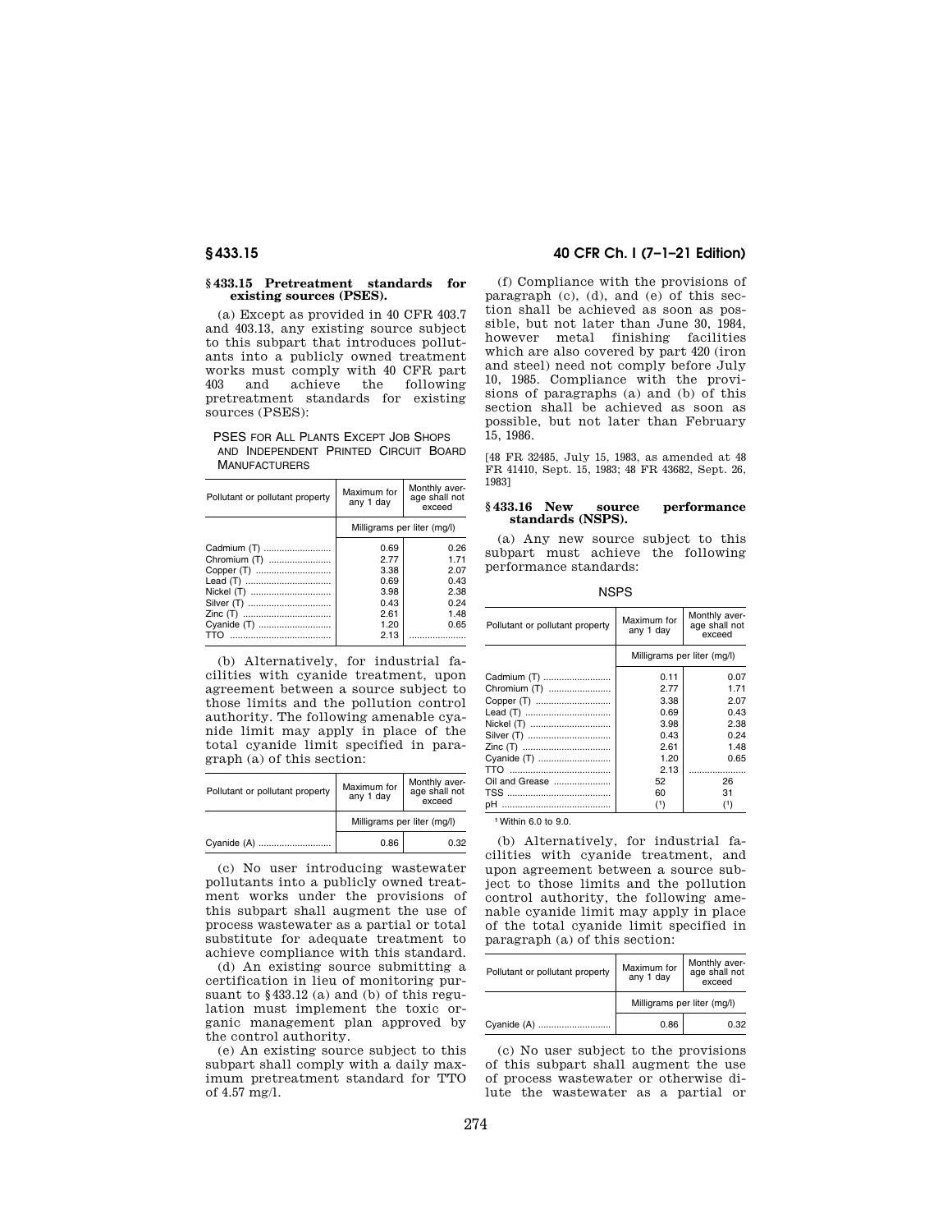### **§ 433.15 Pretreatment standards for existing sources (PSES).**

(a) Except as provided in 40 CFR 403.7 and 403.13, any existing source subject to this subpart that introduces pollutants into a publicly owned treatment works must comply with 40 CFR part<br>403 and achieve the following achieve the following pretreatment standards for existing sources (PSES):

PSES FOR ALL PLANTS EXCEPT JOB SHOPS AND INDEPENDENT PRINTED CIRCUIT BOARD **MANUFACTURERS** 

| Pollutant or pollutant property | Maximum for<br>any 1 day    | Monthly aver-<br>age shall not<br>exceed |
|---------------------------------|-----------------------------|------------------------------------------|
|                                 | Milligrams per liter (mg/l) |                                          |
| Cadmium (T)                     | 0.69                        | 0.26                                     |
| Chromium (T)                    | 2.77                        | 1.71                                     |
| Copper (T)                      | 3.38                        | 2.07                                     |
|                                 | 0.69                        | 0.43                                     |
| Nickel (T)                      | 3.98                        | 2.38                                     |
| Silver (T)                      | 0.43                        | 0.24                                     |
|                                 | 2.61                        | 1.48                                     |
| Cyanide (T)                     | 1.20                        | 0.65                                     |
| TTN                             | 2.13                        |                                          |

(b) Alternatively, for industrial facilities with cyanide treatment, upon agreement between a source subject to those limits and the pollution control authority. The following amenable cyanide limit may apply in place of the total cyanide limit specified in paragraph (a) of this section:

| Pollutant or pollutant property | Maximum for<br>any 1 day    | Monthly aver-<br>age shall not<br>exceed |
|---------------------------------|-----------------------------|------------------------------------------|
|                                 | Milligrams per liter (mg/l) |                                          |
|                                 | 0.86                        | 0.32                                     |

(c) No user introducing wastewater pollutants into a publicly owned treatment works under the provisions of this subpart shall augment the use of process wastewater as a partial or total substitute for adequate treatment to achieve compliance with this standard.

(d) An existing source submitting a certification in lieu of monitoring pursuant to §433.12 (a) and (b) of this regulation must implement the toxic organic management plan approved by the control authority.

(e) An existing source subject to this subpart shall comply with a daily maximum pretreatment standard for TTO of 4.57 mg/l.

# **§ 433.15 40 CFR Ch. I (7–1–21 Edition)**

(f) Compliance with the provisions of paragraph (c), (d), and (e) of this section shall be achieved as soon as possible, but not later than June 30, 1984, however metal finishing facilities which are also covered by part 420 (iron and steel) need not comply before July 10, 1985. Compliance with the provisions of paragraphs (a) and (b) of this section shall be achieved as soon as possible, but not later than February 15, 1986.

[48 FR 32485, July 15, 1983, as amended at 48 FR 41410, Sept. 15, 1983; 48 FR 43682, Sept. 26, 1983]

## **§ 433.16 New source performance standards (NSPS).**

(a) Any new source subject to this subpart must achieve the following performance standards:

**NSPS** 

| Pollutant or pollutant property | Maximum for<br>any 1 day    | Monthly aver-<br>age shall not<br>exceed |
|---------------------------------|-----------------------------|------------------------------------------|
|                                 | Milligrams per liter (mg/l) |                                          |
| Cadmium (T)                     | 0.11                        | 0.07                                     |
| Chromium (T)                    | 2.77                        | 1.71                                     |
| Copper (T)                      | 3.38                        | 2.07                                     |
|                                 | 0.69                        | 0.43                                     |
| Nickel (T)                      | 3.98                        | 2.38                                     |
| Silver (T)                      | 0.43                        | 0.24                                     |
|                                 | 2.61                        | 1.48                                     |
| Cyanide (T)                     | 1.20                        | 0.65                                     |
|                                 | 2.13                        | .                                        |
| Oil and Grease                  | 52                          | 26                                       |
|                                 | 60                          | 31                                       |
|                                 | (1)                         | (1)                                      |

1Within 6.0 to 9.0.

(b) Alternatively, for industrial facilities with cyanide treatment, and upon agreement between a source subject to those limits and the pollution control authority, the following amenable cyanide limit may apply in place of the total cyanide limit specified in paragraph (a) of this section:

| Pollutant or pollutant property | Maximum for<br>any 1 day    | Monthly aver-<br>age shall not<br>exceed |
|---------------------------------|-----------------------------|------------------------------------------|
|                                 | Milligrams per liter (mg/l) |                                          |
| Cyanide (A)                     | 0.86                        | 0.32                                     |

(c) No user subject to the provisions of this subpart shall augment the use of process wastewater or otherwise dilute the wastewater as a partial or